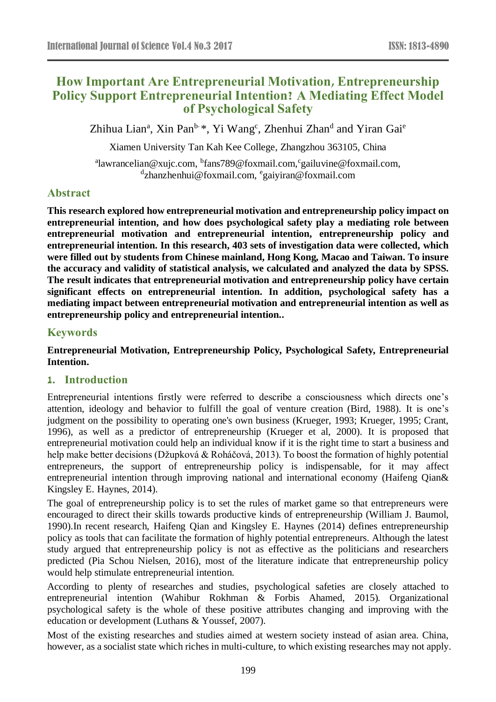# **How Important Are Entrepreneurial Motivation, Entrepreneurship Policy Support Entrepreneurial Intention? A Mediating Effect Model of Psychological Safety**

Zhihua Lian<sup>a</sup>, Xin Pan<sup>b, \*</sup>, Yi Wang<sup>c</sup>, Zhenhui Zhan<sup>d</sup> and Yiran Gai<sup>e</sup>

Xiamen University Tan Kah Kee College, Zhangzhou 363105, China

<sup>a</sup>lawrancelian@xujc.com, <sup>b</sup>fans789@foxmail.com, <sup>c</sup>gailuvine@foxmail.com, <sup>d</sup>zhanzhenhui@foxmail.com, <sup>e</sup>gaiyiran@foxmail.com

## **Abstract**

**This research explored how entrepreneurial motivation and entrepreneurship policy impact on entrepreneurial intention, and how does psychological safety play a mediating role between entrepreneurial motivation and entrepreneurial intention, entrepreneurship policy and entrepreneurial intention. In this research, 403 sets of investigation data were collected, which were filled out by students from Chinese mainland, Hong Kong, Macao and Taiwan. To insure the accuracy and validity of statistical analysis, we calculated and analyzed the data by SPSS. The result indicates that entrepreneurial motivation and entrepreneurship policy have certain significant effects on entrepreneurial intention. In addition, psychological safety has a mediating impact between entrepreneurial motivation and entrepreneurial intention as well as entrepreneurship policy and entrepreneurial intention..**

## **Keywords**

**Entrepreneurial Motivation, Entrepreneurship Policy, Psychological Safety, Entrepreneurial Intention.**

## **1. Introduction**

Entrepreneurial intentions firstly were referred to describe a consciousness which directs one's attention, ideology and behavior to fulfill the goal of venture creation (Bird, 1988). It is one's judgment on the possibility to operating one's own business (Krueger, 1993; Krueger, 1995; Crant, 1996), as well as a predictor of entrepreneurship (Krueger et al, 2000). It is proposed that entrepreneurial motivation could help an individual know if it is the right time to start a business and help make better decisions (Džupková & Roháčová, 2013). To boost the formation of highly potential entrepreneurs, the support of entrepreneurship policy is indispensable, for it may affect entrepreneurial intention through improving national and international economy (Haifeng Qian& Kingsley E. Haynes, 2014).

The goal of entrepreneurship policy is to set the rules of market game so that entrepreneurs were encouraged to direct their skills towards productive kinds of entrepreneurship (William J. Baumol, 1990).In recent research, Haifeng Qian and Kingsley E. Haynes (2014) defines entrepreneurship policy as tools that can facilitate the formation of highly potential entrepreneurs. Although the latest study argued that entrepreneurship policy is not as effective as the politicians and researchers predicted (Pia Schou Nielsen, 2016), most of the literature indicate that entrepreneurship policy would help stimulate entrepreneurial intention.

According to plenty of researches and studies, psychological safeties are closely attached to entrepreneurial intention (Wahibur Rokhman & Forbis Ahamed, 2015). Organizational psychological safety is the whole of these positive attributes changing and improving with the education or development (Luthans & Youssef, 2007).

Most of the existing researches and studies aimed at western society instead of asian area. China, however, as a socialist state which riches in multi-culture, to which existing researches may not apply.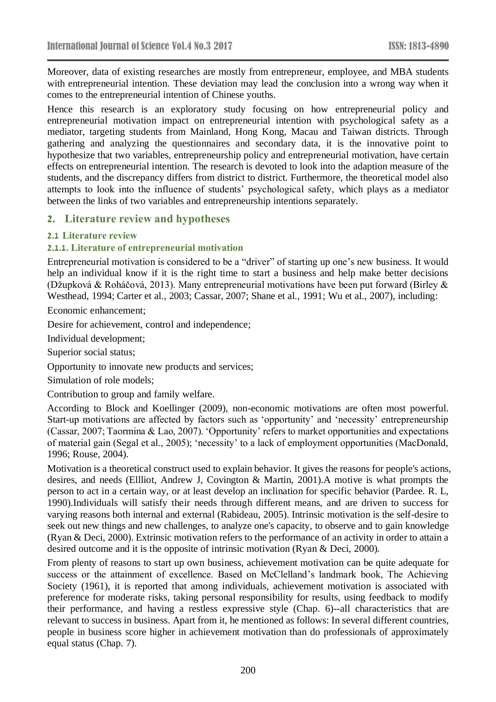Moreover, data of existing researches are mostly from entrepreneur, employee, and MBA students with entrepreneurial intention. These deviation may lead the conclusion into a wrong way when it comes to the entrepreneurial intention of Chinese youths.

Hence this research is an exploratory study focusing on how entrepreneurial policy and entrepreneurial motivation impact on entrepreneurial intention with psychological safety as a mediator, targeting students from Mainland, Hong Kong, Macau and Taiwan districts. Through gathering and analyzing the questionnaires and secondary data, it is the innovative point to hypothesize that two variables, entrepreneurship policy and entrepreneurial motivation, have certain effects on entrepreneurial intention. The research is devoted to look into the adaption measure of the students, and the discrepancy differs from district to district. Furthermore, the theoretical model also attempts to look into the influence of students' psychological safety, which plays as a mediator between the links of two variables and entrepreneurship intentions separately.

### **2. Literature review and hypotheses**

#### **2.1 Literature review**

### **2.1.1. Literature of entrepreneurial motivation**

Entrepreneurial motivation is considered to be a "driver" of starting up one's new business. It would help an individual know if it is the right time to start a business and help make better decisions (Džupková & Roháčová, 2013). Many entrepreneurial motivations have been put forward (Birley & Westhead, 1994; Carter et al., 2003; Cassar, 2007; Shane et al., 1991; Wu et al., 2007), including:

Economic enhancement;

Desire for achievement, control and independence;

Individual development;

Superior social status;

Opportunity to innovate new products and services;

Simulation of role models;

Contribution to group and family welfare.

According to Block and Koellinger (2009), non-economic motivations are often most powerful. Start-up motivations are affected by factors such as 'opportunity' and 'necessity' entrepreneurship (Cassar, 2007; Taormina & Lao, 2007). 'Opportunity' refers to market opportunities and expectations of material gain (Segal et al., 2005); 'necessity' to a lack of employment opportunities (MacDonald, 1996; Rouse, 2004).

Motivation is a theoretical construct used to explain behavior. It gives the reasons for people's actions, desires, and needs (Ellliot, Andrew J, Covington & Martin, 2001).A motive is what prompts the person to act in a certain way, or at least develop an inclination for specific behavior (Pardee. R. L, 1990).Individuals will satisfy their needs through different means, and are driven to success for varying reasons both internal and external (Rabideau, 2005). Intrinsic motivation is the self-desire to seek out new things and new challenges, to analyze one's capacity, to observe and to gain knowledge (Ryan & Deci, 2000). Extrinsic motivation refers to the performance of an activity in order to attain a desired outcome and it is the opposite of intrinsic motivation (Ryan & Deci, 2000).

From plenty of reasons to start up own business, achievement motivation can be quite adequate for success or the attainment of excellence. Based on McClelland's landmark book, The Achieving Society (1961), it is reported that among individuals, achievement motivation is associated with preference for moderate risks, taking personal responsibility for results, using feedback to modify their performance, and having a restless expressive style (Chap. 6)--all characteristics that are relevant to success in business. Apart from it, he mentioned as follows: In several different countries, people in business score higher in achievement motivation than do professionals of approximately equal status (Chap. 7).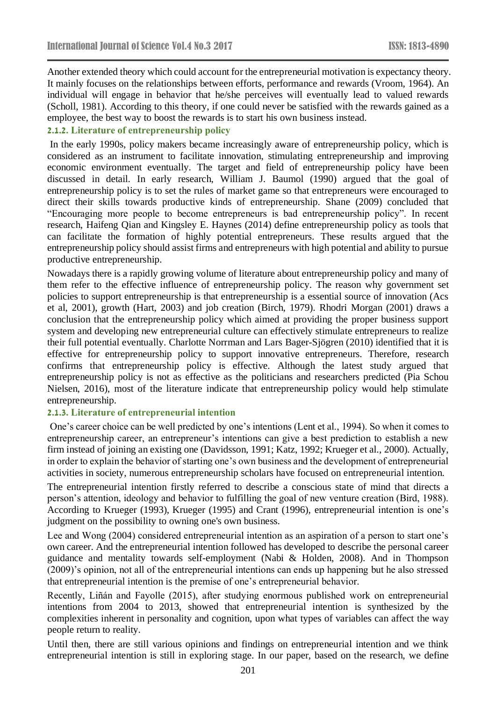Another extended theory which could account for the entrepreneurial motivation is expectancy theory. It mainly focuses on the relationships between efforts, performance and rewards (Vroom, 1964). An individual will engage in behavior that he/she perceives will eventually lead to valued rewards (Scholl, 1981). According to this theory, if one could never be satisfied with the rewards gained as a employee, the best way to boost the rewards is to start his own business instead.

### **2.1.2. Literature of entrepreneurship policy**

In the early 1990s, policy makers became increasingly aware of entrepreneurship policy, which is considered as an instrument to facilitate innovation, stimulating entrepreneurship and improving economic environment eventually. The target and field of entrepreneurship policy have been discussed in detail. In early research, William J. Baumol (1990) argued that the goal of entrepreneurship policy is to set the rules of market game so that entrepreneurs were encouraged to direct their skills towards productive kinds of entrepreneurship. Shane (2009) concluded that "Encouraging more people to become entrepreneurs is bad entrepreneurship policy". In recent research, Haifeng Qian and Kingsley E. Haynes (2014) define entrepreneurship policy as tools that can facilitate the formation of highly potential entrepreneurs. These results argued that the entrepreneurship policy should assist firms and entrepreneurs with high potential and ability to pursue productive entrepreneurship.

Nowadays there is a rapidly growing volume of literature about entrepreneurship policy and many of them refer to the effective influence of entrepreneurship policy. The reason why government set policies to support entrepreneurship is that entrepreneurship is a essential source of innovation (Acs et al, 2001), growth (Hart, 2003) and job creation (Birch, 1979). Rhodri Morgan (2001) draws a conclusion that the entrepreneurship policy which aimed at providing the proper business support system and developing new entrepreneurial culture can effectively stimulate entrepreneurs to realize their full potential eventually. Charlotte Norrman and Lars Bager-Sjögren (2010) identified that it is effective for entrepreneurship policy to support innovative entrepreneurs. Therefore, research confirms that entrepreneurship policy is effective. Although the latest study argued that entrepreneurship policy is not as effective as the politicians and researchers predicted (Pia Schou Nielsen, 2016), most of the literature indicate that entrepreneurship policy would help stimulate entrepreneurship.

### **2.1.3. Literature of entrepreneurial intention**

One's career choice can be well predicted by one's intentions (Lent et al., 1994). So when it comes to entrepreneurship career, an entrepreneur's intentions can give a best prediction to establish a new firm instead of joining an existing one (Davidsson, 1991; Katz, 1992; Krueger et al., 2000). Actually, in order to explain the behavior of starting one's own business and the development of entrepreneurial activities in society, numerous entrepreneurship scholars have focused on entrepreneurial intention.

The entrepreneurial intention firstly referred to describe a conscious state of mind that directs a person's attention, ideology and behavior to fulfilling the goal of new venture creation (Bird, 1988). According to Krueger (1993), Krueger (1995) and Crant (1996), entrepreneurial intention is one's judgment on the possibility to owning one's own business.

Lee and Wong (2004) considered entrepreneurial intention as an aspiration of a person to start one's own career. And the entrepreneurial intention followed has developed to describe the personal career guidance and mentality towards self-employment (Nabi & Holden, 2008). And in Thompson (2009)'s opinion, not all of the entrepreneurial intentions can ends up happening but he also stressed that entrepreneurial intention is the premise of one's entrepreneurial behavior.

Recently, Liñán and Fayolle (2015), after studying enormous published work on entrepreneurial intentions from 2004 to 2013, showed that entrepreneurial intention is synthesized by the complexities inherent in personality and cognition, upon what types of variables can affect the way people return to reality.

Until then, there are still various opinions and findings on entrepreneurial intention and we think entrepreneurial intention is still in exploring stage. In our paper, based on the research, we define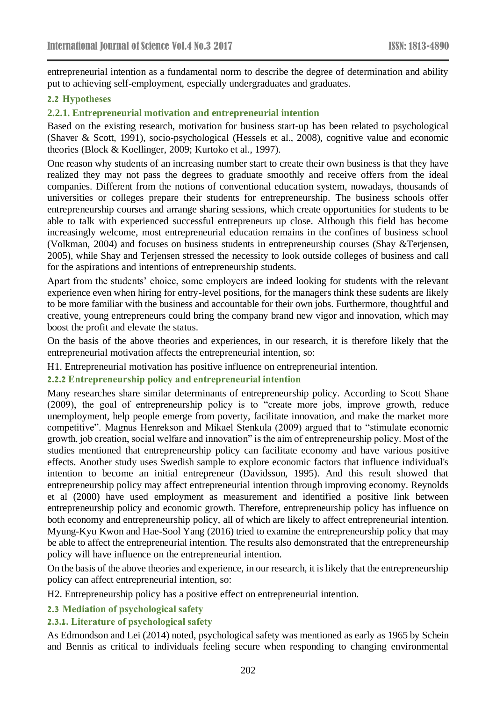entrepreneurial intention as a fundamental norm to describe the degree of determination and ability put to achieving self-employment, especially undergraduates and graduates.

### **2.2 Hypotheses**

#### **2.2.1. Entrepreneurial motivation and entrepreneurial intention**

Based on the existing research, motivation for business start-up has been related to psychological (Shaver & Scott, 1991), socio-psychological (Hessels et al., 2008), cognitive value and economic theories (Block & Koellinger, 2009; Kurtoko et al., 1997).

One reason why students of an increasing number start to create their own business is that they have realized they may not pass the degrees to graduate smoothly and receive offers from the ideal companies. Different from the notions of conventional education system, nowadays, thousands of universities or colleges prepare their students for entrepreneurship. The business schools offer entrepreneurship courses and arrange sharing sessions, which create opportunities for students to be able to talk with experienced successful entrepreneurs up close. Although this field has become increasingly welcome, most entrepreneurial education remains in the confines of business school (Volkman, 2004) and focuses on business students in entrepreneurship courses (Shay &Terjensen, 2005), while Shay and Terjensen stressed the necessity to look outside colleges of business and call for the aspirations and intentions of entrepreneurship students.

Apart from the students' choice, some employers are indeed looking for students with the relevant experience even when hiring for entry-level positions, for the managers think these sudents are likely to be more familiar with the business and accountable for their own jobs. Furthermore, thoughtful and creative, young entrepreneurs could bring the company brand new vigor and innovation, which may boost the profit and elevate the status.

On the basis of the above theories and experiences, in our research, it is therefore likely that the entrepreneurial motivation affects the entrepreneurial intention, so:

H1. Entrepreneurial motivation has positive influence on entrepreneurial intention.

#### **2.2.2 Entrepreneurship policy and entrepreneurial intention**

Many researches share similar determinants of entrepreneurship policy. According to Scott Shane (2009), the goal of entrepreneurship policy is to "create more jobs, improve growth, reduce unemployment, help people emerge from poverty, facilitate innovation, and make the market more competitive". Magnus Henrekson and Mikael Stenkula (2009) argued that to "stimulate economic growth, job creation, social welfare and innovation" is the aim of entrepreneurship policy. Most of the studies mentioned that entrepreneurship policy can facilitate economy and have various positive effects. Another study uses Swedish sample to explore economic factors that influence individual's intention to become an initial entrepreneur (Davidsson, 1995). And this result showed that entrepreneurship policy may affect entrepreneurial intention through improving economy. Reynolds et al (2000) have used employment as measurement and identified a positive link between entrepreneurship policy and economic growth. Therefore, entrepreneurship policy has influence on both economy and entrepreneurship policy, all of which are likely to affect entrepreneurial intention. Myung-Kyu Kwon and Hae-Sool Yang (2016) tried to examine the entrepreneurship policy that may be able to affect the entrepreneurial intention. The results also demonstrated that the entrepreneurship policy will have influence on the entrepreneurial intention.

On the basis of the above theories and experience, in our research, it is likely that the entrepreneurship policy can affect entrepreneurial intention, so:

H2. Entrepreneurship policy has a positive effect on entrepreneurial intention.

#### **2.3 Mediation of psychological safety**

#### **2.3.1. Literature of psychological safety**

As Edmondson and Lei (2014) noted, psychological safety was mentioned as early as 1965 by Schein and Bennis as critical to individuals feeling secure when responding to changing environmental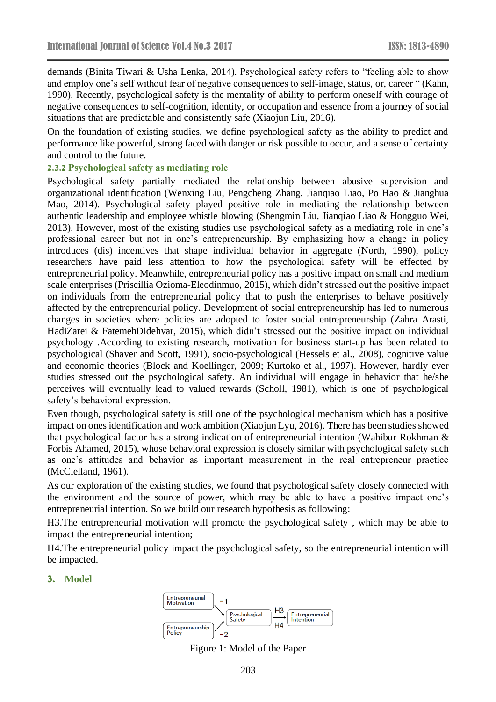demands (Binita Tiwari & Usha Lenka, 2014). Psychological safety refers to "feeling able to show and employ one's self without fear of negative consequences to self-image, status, or, career " (Kahn, 1990). Recently, psychological safety is the mentality of ability to perform oneself with courage of negative consequences to self-cognition, identity, or occupation and essence from a journey of social situations that are predictable and consistently safe (Xiaojun Liu, 2016).

On the foundation of existing studies, we define psychological safety as the ability to predict and performance like powerful, strong faced with danger or risk possible to occur, and a sense of certainty and control to the future.

#### **2.3.2 Psychological safety as mediating role**

Psychological safety partially mediated the relationship between abusive supervision and organizational identification (Wenxing Liu, Pengcheng Zhang, Jianqiao Liao, Po Hao & Jianghua Mao, 2014). Psychological safety played positive role in mediating the relationship between authentic leadership and employee whistle blowing (Shengmin Liu, Jianqiao Liao & Hongguo Wei, 2013). However, most of the existing studies use psychological safety as a mediating role in one's professional career but not in one's entrepreneurship. By emphasizing how a change in policy introduces (dis) incentives that shape individual behavior in aggregate (North, 1990), policy researchers have paid less attention to how the psychological safety will be effected by entrepreneurial policy. Meanwhile, entrepreneurial policy has a positive impact on small and medium scale enterprises (Priscillia Ozioma-Eleodinmuo, 2015), which didn't stressed out the positive impact on individuals from the entrepreneurial policy that to push the enterprises to behave positively affected by the entrepreneurial policy. Development of social entrepreneurship has led to numerous changes in societies where policies are adopted to foster social entrepreneurship (Zahra Arasti, HadiZarei & FatemehDidehvar, 2015), which didn't stressed out the positive impact on individual psychology .According to existing research, motivation for business start-up has been related to psychological (Shaver and Scott, 1991), socio-psychological (Hessels et al., 2008), cognitive value and economic theories (Block and Koellinger, 2009; Kurtoko et al., 1997). However, hardly ever studies stressed out the psychological safety. An individual will engage in behavior that he/she perceives will eventually lead to valued rewards (Scholl, 1981), which is one of psychological safety's behavioral expression.

Even though, psychological safety is still one of the psychological mechanism which has a positive impact on ones identification and work ambition (Xiaojun Lyu, 2016). There has been studies showed that psychological factor has a strong indication of entrepreneurial intention (Wahibur Rokhman & Forbis Ahamed, 2015), whose behavioral expression is closely similar with psychological safety such as one's attitudes and behavior as important measurement in the real entrepreneur practice (McClelland, 1961).

As our exploration of the existing studies, we found that psychological safety closely connected with the environment and the source of power, which may be able to have a positive impact one's entrepreneurial intention. So we build our research hypothesis as following:

H3.The entrepreneurial motivation will promote the psychological safety , which may be able to impact the entrepreneurial intention;

H4.The entrepreneurial policy impact the psychological safety, so the entrepreneurial intention will be impacted.

### **3. Model**



Figure 1: Model of the Paper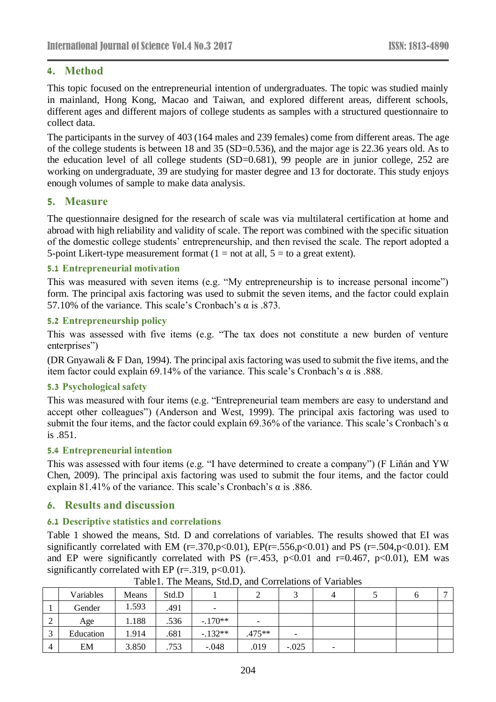# **4. Method**

This topic focused on the entrepreneurial intention of undergraduates. The topic was studied mainly in mainland, Hong Kong, Macao and Taiwan, and explored different areas, different schools, different ages and different majors of college students as samples with a structured questionnaire to collect data.

The participants in the survey of 403 (164 males and 239 females) come from different areas. The age of the college students is between 18 and 35 (SD=0.536), and the major age is 22.36 years old. As to the education level of all college students (SD=0.681), 99 people are in junior college, 252 are working on undergraduate, 39 are studying for master degree and 13 for doctorate. This study enjoys enough volumes of sample to make data analysis.

## **5. Measure**

The questionnaire designed for the research of scale was via multilateral certification at home and abroad with high reliability and validity of scale. The report was combined with the specific situation of the domestic college students' entrepreneurship, and then revised the scale. The report adopted a 5-point Likert-type measurement format  $(1 = not at all, 5 = to a great extent).$ 

## **5.1 Entrepreneurial motivation**

This was measured with seven items (e.g. "My entrepreneurship is to increase personal income") form. The principal axis factoring was used to submit the seven items, and the factor could explain 57.10% of the variance. This scale's Cronbach's α is .873.

### **5.2 Entrepreneurship policy**

This was assessed with five items (e.g. "The tax does not constitute a new burden of venture enterprises")

(DR Gnyawali & F Dan, 1994). The principal axis factoring was used to submit the five items, and the item factor could explain 69.14% of the variance. This scale's Cronbach's α is .888.

## **5.3 Psychological safety**

This was measured with four items (e.g. "Entrepreneurial team members are easy to understand and accept other colleagues") (Anderson and West, 1999). The principal axis factoring was used to submit the four items, and the factor could explain 69.36% of the variance. This scale's Cronbach's  $\alpha$ is .851.

### **5.4 Entrepreneurial intention**

This was assessed with four items (e.g. "I have determined to create a company") (F Liñán and YW Chen, 2009). The principal axis factoring was used to submit the four items, and the factor could explain 81.41% of the variance. This scale's Cronbach's  $\alpha$  is .886.

## **6. Results and discussion**

## **6.1 Descriptive statistics and correlations**

Table 1 showed the means, Std. D and correlations of variables. The results showed that EI was significantly correlated with EM (r=.370,p<0.01), EP(r=.556,p<0.01) and PS (r=.504,p<0.01). EM and EP were significantly correlated with PS ( $r = .453$ ,  $p < 0.01$  and  $r = 0.467$ ,  $p < 0.01$ ), EM was significantly correlated with EP ( $r = .319$ ,  $p < 0.01$ ).

|                   | Variables | Means | Std.D |                          |                          |         |                          | υ |  |
|-------------------|-----------|-------|-------|--------------------------|--------------------------|---------|--------------------------|---|--|
|                   | Gender    | 1.593 | .491  | $\overline{\phantom{0}}$ |                          |         |                          |   |  |
| $\overline{ }$    | Age       | 1.188 | .536  | $-170**$                 | $\overline{\phantom{0}}$ |         |                          |   |  |
| $\mathbf{c}$<br>ر | Education | 1.914 | .681  | $-132**$                 | $.475**$                 |         |                          |   |  |
| 4                 | EM        | 3.850 | .753  | $-.048$                  | .019                     | $-.025$ | $\overline{\phantom{0}}$ |   |  |

Table1. The Means, Std.D, and Correlations of Variables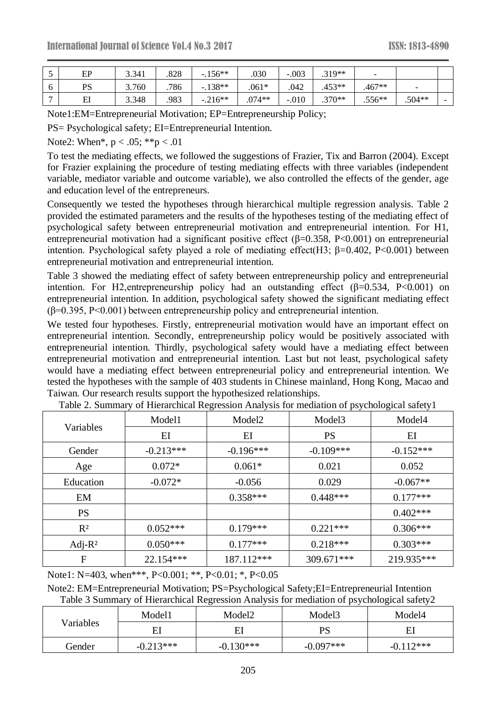| ັ            | EP      | 3.341 | .828 | $-156**$ | .030     | $-.003$ | $.319**$ | $\overline{\phantom{0}}$ |                          |                          |
|--------------|---------|-------|------|----------|----------|---------|----------|--------------------------|--------------------------|--------------------------|
| O            | PS      | 3.760 | .786 | $-138**$ | $.061*$  | .042    | $.453**$ | $.467**$                 | $\overline{\phantom{0}}$ |                          |
| $\mathbf{r}$ | FІ<br>ப | 3.348 | .983 | $-216**$ | $.074**$ | $-.010$ | $.370**$ | $.556**$                 | $.504**$                 | $\overline{\phantom{0}}$ |

Note1:EM=Entrepreneurial Motivation; EP=Entrepreneurship Policy;

PS= Psychological safety; EI=Entrepreneurial Intention.

Note2: When\*,  $p < .05$ ; \*\*p  $< .01$ 

To test the mediating effects, we followed the suggestions of Frazier, Tix and Barron (2004). Except for Frazier explaining the procedure of testing mediating effects with three variables (independent variable, mediator variable and outcome variable), we also controlled the effects of the gender, age and education level of the entrepreneurs.

Consequently we tested the hypotheses through hierarchical multiple regression analysis. Table 2 provided the estimated parameters and the results of the hypotheses testing of the mediating effect of psychological safety between entrepreneurial motivation and entrepreneurial intention. For H1, entrepreneurial motivation had a significant positive effect ( $\beta$ =0.358, P<0.001) on entrepreneurial intention. Psychological safety played a role of mediating effect(H3;  $\beta$ =0.402, P<0.001) between entrepreneurial motivation and entrepreneurial intention.

Table 3 showed the mediating effect of safety between entrepreneurship policy and entrepreneurial intention. For H2, entrepreneurship policy had an outstanding effect  $(\beta=0.534, P<0.001)$  on entrepreneurial intention. In addition, psychological safety showed the significant mediating effect ( $\beta$ =0.395, P<0.001) between entrepreneurship policy and entrepreneurial intention.

We tested four hypotheses. Firstly, entrepreneurial motivation would have an important effect on entrepreneurial intention. Secondly, entrepreneurship policy would be positively associated with entrepreneurial intention. Thirdly, psychological safety would have a mediating effect between entrepreneurial motivation and entrepreneurial intention. Last but not least, psychological safety would have a mediating effect between entrepreneurial policy and entrepreneurial intention. We tested the hypotheses with the sample of 403 students in Chinese mainland, Hong Kong, Macao and Taiwan. Our research results support the hypothesized relationships.

|                | Model1      | Model <sub>2</sub> | Model <sub>3</sub> | Model4      |
|----------------|-------------|--------------------|--------------------|-------------|
| Variables      | $E$ I       | EI                 | <b>PS</b>          | EI          |
| Gender         | $-0.213***$ | $-0.196***$        | $-0.109***$        | $-0.152***$ |
| Age            | $0.072*$    | $0.061*$           | 0.021              | 0.052       |
| Education      | $-0.072*$   | $-0.056$           | 0.029              | $-0.067**$  |
| EM             |             | $0.358***$         | $0.448***$         | $0.177***$  |
| <b>PS</b>      |             |                    |                    | $0.402***$  |
| R <sup>2</sup> | $0.052***$  | $0.179***$         | $0.221***$         | $0.306***$  |
| Adj-R $2$      | $0.050***$  | $0.177***$         | $0.218***$         | $0.303***$  |
| F              | $22.154***$ | 187.112***         | $309.671***$       | 219.935***  |

Table 2. Summary of Hierarchical Regression Analysis for mediation of psychological safety1

Note1: N=403, when\*\*\*, P<0.001; \*\*, P<0.01; \*, P<0.05

Note2: EM=Entrepreneurial Motivation; PS=Psychological Safety;EI=Entrepreneurial Intention Table 3 Summary of Hierarchical Regression Analysis for mediation of psychological safety2

|           | Model1      | Model <sub>2</sub> | Model <sub>3</sub> | Model4      |  |
|-----------|-------------|--------------------|--------------------|-------------|--|
| Variables | El          | ΕI                 | PS                 | El          |  |
| Gender    | $-0.213***$ | $-0.130***$        | $-0.097***$        | $-0.112***$ |  |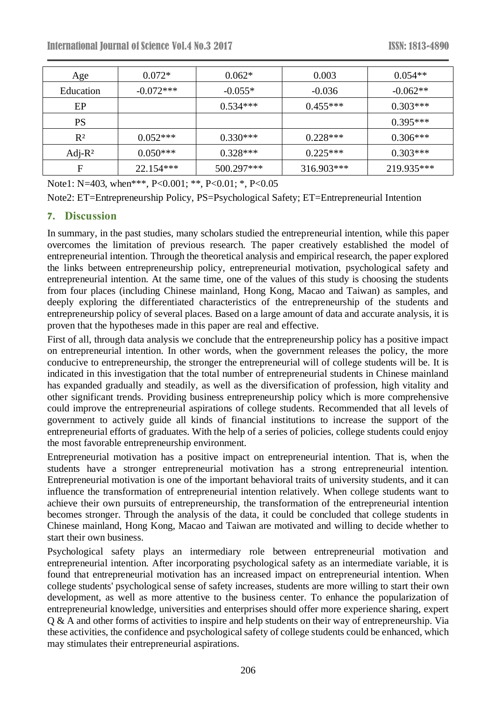| Age            | $0.072*$    | $0.062*$   | 0.003      | $0.054**$  |
|----------------|-------------|------------|------------|------------|
| Education      | $-0.072***$ | $-0.055*$  | $-0.036$   | $-0.062**$ |
| EP             |             | $0.534***$ | $0.455***$ | $0.303***$ |
| PS             |             |            |            | $0.395***$ |
| R <sup>2</sup> | $0.052***$  | $0.330***$ | $0.228***$ | $0.306***$ |
| Adj-R $2$      | $0.050***$  | $0.328***$ | $0.225***$ | $0.303***$ |
| F              | $22.154***$ | 500.297*** | 316.903*** | 219.935*** |

Note1: N=403, when\*\*\*, P<0.001; \*\*, P<0.01; \*, P<0.05

Note2: ET=Entrepreneurship Policy, PS=Psychological Safety; ET=Entrepreneurial Intention

## **7. Discussion**

In summary, in the past studies, many scholars studied the entrepreneurial intention, while this paper overcomes the limitation of previous research. The paper creatively established the model of entrepreneurial intention. Through the theoretical analysis and empirical research, the paper explored the links between entrepreneurship policy, entrepreneurial motivation, psychological safety and entrepreneurial intention. At the same time, one of the values of this study is choosing the students from four places (including Chinese mainland, Hong Kong, Macao and Taiwan) as samples, and deeply exploring the differentiated characteristics of the entrepreneurship of the students and entrepreneurship policy of several places. Based on a large amount of data and accurate analysis, it is proven that the hypotheses made in this paper are real and effective.

First of all, through data analysis we conclude that the entrepreneurship policy has a positive impact on entrepreneurial intention. In other words, when the government releases the policy, the more conducive to entrepreneurship, the stronger the entrepreneurial will of college students will be. It is indicated in this investigation that the total number of entrepreneurial students in Chinese mainland has expanded gradually and steadily, as well as the diversification of profession, high vitality and other significant trends. Providing business entrepreneurship policy which is more comprehensive could improve the entrepreneurial aspirations of college students. Recommended that all levels of government to actively guide all kinds of financial institutions to increase the support of the entrepreneurial efforts of graduates. With the help of a series of policies, college students could enjoy the most favorable entrepreneurship environment.

Entrepreneurial motivation has a positive impact on entrepreneurial intention. That is, when the students have a stronger entrepreneurial motivation has a strong entrepreneurial intention. Entrepreneurial motivation is one of the important behavioral traits of university students, and it can influence the transformation of entrepreneurial intention relatively. When college students want to achieve their own pursuits of entrepreneurship, the transformation of the entrepreneurial intention becomes stronger. Through the analysis of the data, it could be concluded that college students in Chinese mainland, Hong Kong, Macao and Taiwan are motivated and willing to decide whether to start their own business.

Psychological safety plays an intermediary role between entrepreneurial motivation and entrepreneurial intention. After incorporating psychological safety as an intermediate variable, it is found that entrepreneurial motivation has an increased impact on entrepreneurial intention. When college students' psychological sense of safety increases, students are more willing to start their own development, as well as more attentive to the business center. To enhance the popularization of entrepreneurial knowledge, universities and enterprises should offer more experience sharing, expert Q & A and other forms of activities to inspire and help students on their way of entrepreneurship. Via these activities, the confidence and psychological safety of college students could be enhanced, which may stimulates their entrepreneurial aspirations.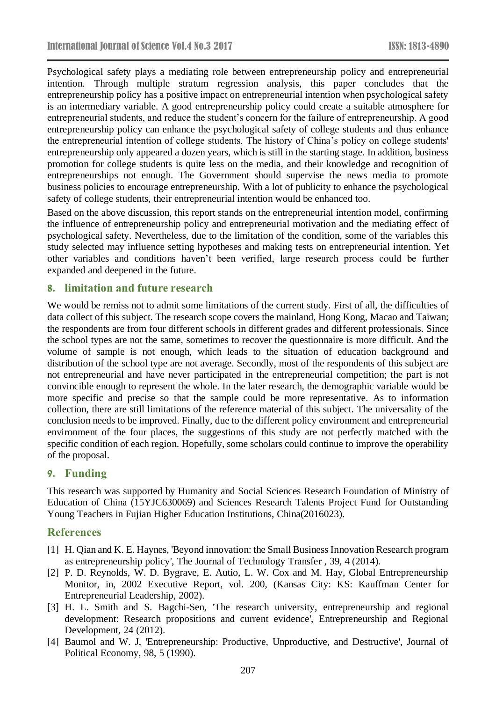Psychological safety plays a mediating role between entrepreneurship policy and entrepreneurial intention. Through multiple stratum regression analysis, this paper concludes that the entrepreneurship policy has a positive impact on entrepreneurial intention when psychological safety is an intermediary variable. A good entrepreneurship policy could create a suitable atmosphere for entrepreneurial students, and reduce the student's concern for the failure of entrepreneurship. A good entrepreneurship policy can enhance the psychological safety of college students and thus enhance the entrepreneurial intention of college students. The history of China's policy on college students' entrepreneurship only appeared a dozen years, which is still in the starting stage. In addition, business promotion for college students is quite less on the media, and their knowledge and recognition of entrepreneurships not enough. The Government should supervise the news media to promote business policies to encourage entrepreneurship. With a lot of publicity to enhance the psychological safety of college students, their entrepreneurial intention would be enhanced too.

Based on the above discussion, this report stands on the entrepreneurial intention model, confirming the influence of entrepreneurship policy and entrepreneurial motivation and the mediating effect of psychological safety. Nevertheless, due to the limitation of the condition, some of the variables this study selected may influence setting hypotheses and making tests on entrepreneurial intention. Yet other variables and conditions haven't been verified, large research process could be further expanded and deepened in the future.

### **8. limitation and future research**

We would be remiss not to admit some limitations of the current study. First of all, the difficulties of data collect of this subject. The research scope covers the mainland, Hong Kong, Macao and Taiwan; the respondents are from four different schools in different grades and different professionals. Since the school types are not the same, sometimes to recover the questionnaire is more difficult. And the volume of sample is not enough, which leads to the situation of education background and distribution of the school type are not average. Secondly, most of the respondents of this subject are not entrepreneurial and have never participated in the entrepreneurial competition; the part is not convincible enough to represent the whole. In the later research, the demographic variable would be more specific and precise so that the sample could be more representative. As to information collection, there are still limitations of the reference material of this subject. The universality of the conclusion needs to be improved. Finally, due to the different policy environment and entrepreneurial environment of the four places, the suggestions of this study are not perfectly matched with the specific condition of each region. Hopefully, some scholars could continue to improve the operability of the proposal.

## **9. Funding**

This research was supported by Humanity and Social Sciences Research Foundation of Ministry of Education of China (15YJC630069) and Sciences Research Talents Project Fund for Outstanding Young Teachers in Fujian Higher Education Institutions, China(2016023).

## **References**

- [1] H. Qian and K. E. Haynes, 'Beyond innovation: the Small Business Innovation Research program as entrepreneurship policy', The Journal of Technology Transfer , 39, 4 (2014).
- [2] P. D. Reynolds, W. D. Bygrave, E. Autio, L. W. Cox and M. Hay, Global Entrepreneurship Monitor, in, 2002 Executive Report, vol. 200, (Kansas City: KS: Kauffman Center for Entrepreneurial Leadership, 2002).
- [3] H. L. Smith and S. Bagchi-Sen, 'The research university, entrepreneurship and regional development: Research propositions and current evidence', Entrepreneurship and Regional Development, 24 (2012).
- [4] Baumol and W. J, 'Entrepreneurship: Productive, Unproductive, and Destructive', Journal of Political Economy, 98, 5 (1990).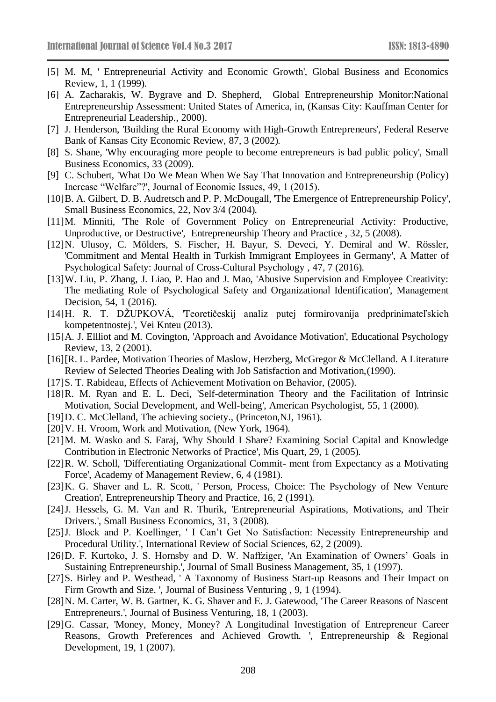- [5] M. M, ' Entrepreneurial Activity and Economic Growth', Global Business and Economics Review, 1, 1 (1999).
- [6] A. Zacharakis, W. Bygrave and D. Shepherd, Global Entrepreneurship Monitor:National Entrepreneurship Assessment: United States of America, in, (Kansas City: Kauffman Center for Entrepreneurial Leadership., 2000).
- [7] J. Henderson, 'Building the Rural Economy with High-Growth Entrepreneurs', Federal Reserve Bank of Kansas City Economic Review, 87, 3 (2002).
- [8] S. Shane, 'Why encouraging more people to become entrepreneurs is bad public policy', Small Business Economics, 33 (2009).
- [9] C. Schubert, 'What Do We Mean When We Say That Innovation and Entrepreneurship (Policy) Increase "Welfare"?', Journal of Economic Issues, 49, 1 (2015).
- [10] B. A. Gilbert, D. B. Audretsch and P. P. McDougall, The Emergence of Entrepreneurship Policy', Small Business Economics, 22, Nov 3/4 (2004).
- [11]M. Minniti, 'The Role of Government Policy on Entrepreneurial Activity: Productive, Unproductive, or Destructive', Entrepreneurship Theory and Practice , 32, 5 (2008).
- [12]N. Ulusoy, C. Mölders, S. Fischer, H. Bayur, S. Deveci, Y. Demiral and W. Rössler, 'Commitment and Mental Health in Turkish Immigrant Employees in Germany', A Matter of Psychological Safety: Journal of Cross-Cultural Psychology , 47, 7 (2016).
- [13]W. Liu, P. Zhang, J. Liao, P. Hao and J. Mao, 'Abusive Supervision and Employee Creativity: The mediating Role of Psychological Safety and Organizational Identification', Management Decision, 54, 1 (2016).
- [14]H. R. T. DŽUPKOVÁ, 'Teoretičeskij analiz putej formirovanija predprinimateľskich kompetentnostej.', Vei Knteu (2013).
- [15] A. J. Ellliot and M. Covington, 'Approach and Avoidance Motivation', Educational Psychology Review, 13, 2 (2001).
- [16][R. L. Pardee, Motivation Theories of Maslow, Herzberg, McGregor & McClelland. A Literature Review of Selected Theories Dealing with Job Satisfaction and Motivation,(1990).
- [17]S. T. Rabideau, Effects of Achievement Motivation on Behavior, (2005).
- [18]R. M. Ryan and E. L. Deci, 'Self-determination Theory and the Facilitation of Intrinsic Motivation, Social Development, and Well-being', American Psychologist, 55, 1 (2000).
- [19] D. C. McClelland, The achieving society., (Princeton, NJ, 1961).
- [20]V. H. Vroom, Work and Motivation, (New York, 1964).
- [21]M. M. Wasko and S. Faraj, 'Why Should I Share? Examining Social Capital and Knowledge Contribution in Electronic Networks of Practice', Mis Quart, 29, 1 (2005).
- [22]R. W. Scholl, 'Differentiating Organizational Commit- ment from Expectancy as a Motivating Force', Academy of Management Review, 6, 4 (1981).
- [23]K. G. Shaver and L. R. Scott, ' Person, Process, Choice: The Psychology of New Venture Creation', Entrepreneurship Theory and Practice, 16, 2 (1991).
- [24]J. Hessels, G. M. Van and R. Thurik, 'Entrepreneurial Aspirations, Motivations, and Their Drivers.', Small Business Economics, 31, 3 (2008).
- [25]J. Block and P. Koellinger, ' I Can't Get No Satisfaction: Necessity Entrepreneurship and Procedural Utility.', International Review of Social Sciences, 62, 2 (2009).
- [26]D. F. Kurtoko, J. S. Hornsby and D. W. Naffziger, 'An Examination of Owners' Goals in Sustaining Entrepreneurship.', Journal of Small Business Management, 35, 1 (1997).
- [27]S. Birley and P. Westhead, ' A Taxonomy of Business Start-up Reasons and Their Impact on Firm Growth and Size. ', Journal of Business Venturing , 9, 1 (1994).
- [28]N. M. Carter, W. B. Gartner, K. G. Shaver and E. J. Gatewood, 'The Career Reasons of Nascent Entrepreneurs.', Journal of Business Venturing, 18, 1 (2003).
- [29]G. Cassar, 'Money, Money, Money? A Longitudinal Investigation of Entrepreneur Career Reasons, Growth Preferences and Achieved Growth. ', Entrepreneurship & Regional Development, 19, 1 (2007).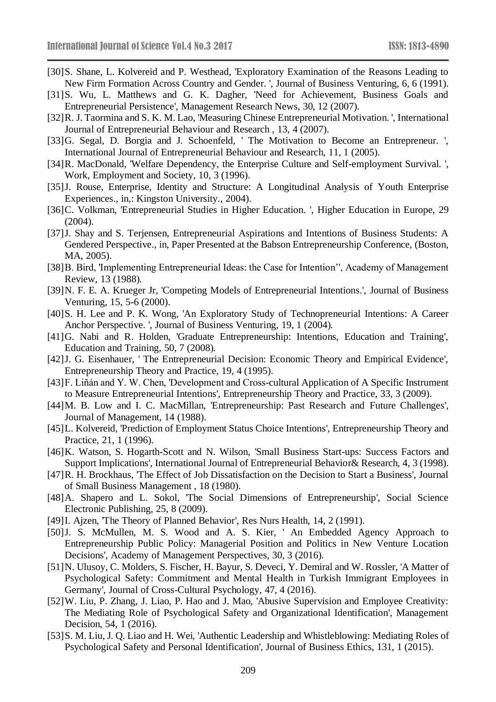- [30]S. Shane, L. Kolvereid and P. Westhead, 'Exploratory Examination of the Reasons Leading to New Firm Formation Across Country and Gender. ', Journal of Business Venturing, 6, 6 (1991).
- [31]S. Wu, L. Matthews and G. K. Dagher, 'Need for Achievement, Business Goals and Entrepreneurial Persistence', Management Research News, 30, 12 (2007).
- [32]R. J. Taormina and S. K. M. Lao, 'Measuring Chinese Entrepreneurial Motivation. ', International Journal of Entrepreneurial Behaviour and Research , 13, 4 (2007).
- [33]G. Segal, D. Borgia and J. Schoenfeld, ' The Motivation to Become an Entrepreneur. ', International Journal of Entrepreneurial Behaviour and Research, 11, 1 (2005).
- [34]R. MacDonald, 'Welfare Dependency, the Enterprise Culture and Self-employment Survival.', Work, Employment and Society, 10, 3 (1996).
- [35]J. Rouse, Enterprise, Identity and Structure: A Longitudinal Analysis of Youth Enterprise Experiences., in,: Kingston University., 2004).
- [36]C. Volkman, 'Entrepreneurial Studies in Higher Education. ', Higher Education in Europe, 29 (2004).
- [37]J. Shay and S. Terjensen, Entrepreneurial Aspirations and Intentions of Business Students: A Gendered Perspective., in, Paper Presented at the Babson Entrepreneurship Conference, (Boston, MA, 2005).
- [38]B. Bird, 'Implementing Entrepreneurial Ideas: the Case for Intention'', Academy of Management Review, 13 (1988).
- [39]N. F. E. A. Krueger Jr, 'Competing Models of Entrepreneurial Intentions.', Journal of Business Venturing, 15, 5-6 (2000).
- [40]S. H. Lee and P. K. Wong, 'An Exploratory Study of Technopreneurial Intentions: A Career Anchor Perspective. ', Journal of Business Venturing, 19, 1 (2004).
- [41]G. Nabi and R. Holden, 'Graduate Entrepreneurship: Intentions, Education and Training', Education and Training, 50, 7 (2008).
- [42]J. G. Eisenhauer, ' The Entrepreneurial Decision: Economic Theory and Empirical Evidence', Entrepreneurship Theory and Practice, 19, 4 (1995).
- [43]F. Liñán and Y. W. Chen, 'Development and Cross-cultural Application of A Specific Instrument to Measure Entrepreneurial Intentions', Entrepreneurship Theory and Practice, 33, 3 (2009).
- [44]M. B. Low and I. C. MacMillan, 'Entrepreneurship: Past Research and Future Challenges', Journal of Management, 14 (1988).
- [45] L. Kolvereid, 'Prediction of Employment Status Choice Intentions', Entrepreneurship Theory and Practice, 21, 1 (1996).
- [46]K. Watson, S. Hogarth-Scott and N. Wilson, 'Small Business Start-ups: Success Factors and Support Implications', International Journal of Entrepreneurial Behavior& Research, 4, 3 (1998).
- [47]R. H. Brockhaus, 'The Effect of Job Dissatisfaction on the Decision to Start a Business', Journal of Small Business Management , 18 (1980).
- [48]A. Shapero and L. Sokol, 'The Social Dimensions of Entrepreneurship', Social Science Electronic Publishing, 25, 8 (2009).
- [49]I. Ajzen, 'The Theory of Planned Behavior', Res Nurs Health, 14, 2 (1991).
- [50]J. S. McMullen, M. S. Wood and A. S. Kier, ' An Embedded Agency Approach to Entrepreneurship Public Policy: Managerial Position and Politics in New Venture Location Decisions', Academy of Management Perspectives, 30, 3 (2016).
- [51]N. Ulusoy, C. Molders, S. Fischer, H. Bayur, S. Deveci, Y. Demiral and W. Rossler, 'A Matter of Psychological Safety: Commitment and Mental Health in Turkish Immigrant Employees in Germany', Journal of Cross-Cultural Psychology, 47, 4 (2016).
- [52]W. Liu, P. Zhang, J. Liao, P. Hao and J. Mao, 'Abusive Supervision and Employee Creativity: The Mediating Role of Psychological Safety and Organizational Identification', Management Decision, 54, 1 (2016).
- [53]S. M. Liu, J. Q. Liao and H. Wei, 'Authentic Leadership and Whistleblowing: Mediating Roles of Psychological Safety and Personal Identification', Journal of Business Ethics, 131, 1 (2015).